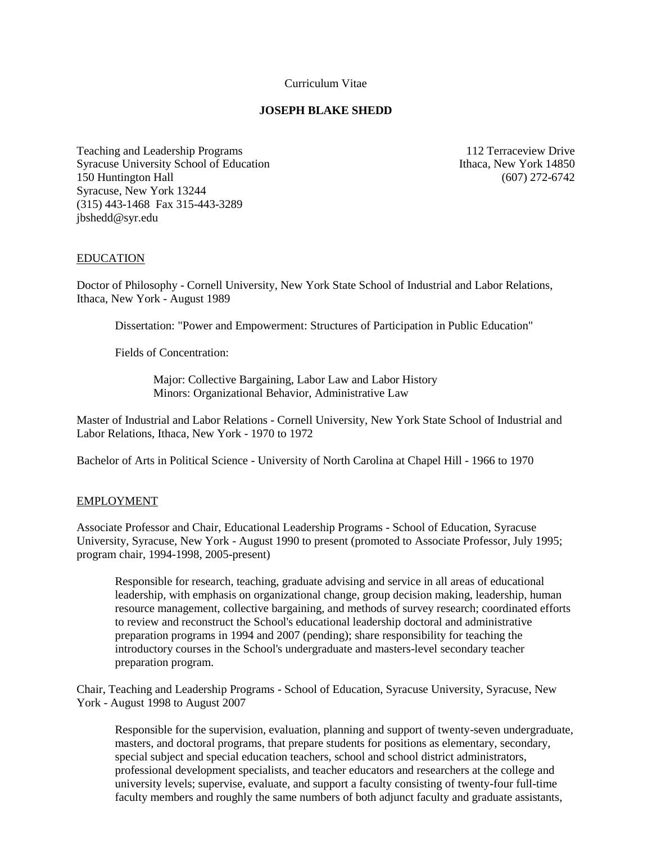Curriculum Vitae

## **JOSEPH BLAKE SHEDD**

Teaching and Leadership Programs 112 Terraceview Drive Syracuse University School of Education Ithaca, New York 14850 150 Huntington Hall (607) 272-6742 Syracuse, New York 13244 (315) 443-1468 Fax 315-443-3289 jbshedd@syr.edu

#### EDUCATION

Doctor of Philosophy - Cornell University, New York State School of Industrial and Labor Relations, Ithaca, New York - August 1989

Dissertation: "Power and Empowerment: Structures of Participation in Public Education"

Fields of Concentration:

 Major: Collective Bargaining, Labor Law and Labor History Minors: Organizational Behavior, Administrative Law

Master of Industrial and Labor Relations - Cornell University, New York State School of Industrial and Labor Relations, Ithaca, New York - 1970 to 1972

Bachelor of Arts in Political Science - University of North Carolina at Chapel Hill - 1966 to 1970

## EMPLOYMENT

Associate Professor and Chair, Educational Leadership Programs - School of Education, Syracuse University, Syracuse, New York - August 1990 to present (promoted to Associate Professor, July 1995; program chair, 1994-1998, 2005-present)

 Responsible for research, teaching, graduate advising and service in all areas of educational leadership, with emphasis on organizational change, group decision making, leadership, human resource management, collective bargaining, and methods of survey research; coordinated efforts to review and reconstruct the School's educational leadership doctoral and administrative preparation programs in 1994 and 2007 (pending); share responsibility for teaching the introductory courses in the School's undergraduate and masters-level secondary teacher preparation program.

Chair, Teaching and Leadership Programs - School of Education, Syracuse University, Syracuse, New York - August 1998 to August 2007

 Responsible for the supervision, evaluation, planning and support of twenty-seven undergraduate, masters, and doctoral programs, that prepare students for positions as elementary, secondary, special subject and special education teachers, school and school district administrators, professional development specialists, and teacher educators and researchers at the college and university levels; supervise, evaluate, and support a faculty consisting of twenty-four full-time faculty members and roughly the same numbers of both adjunct faculty and graduate assistants,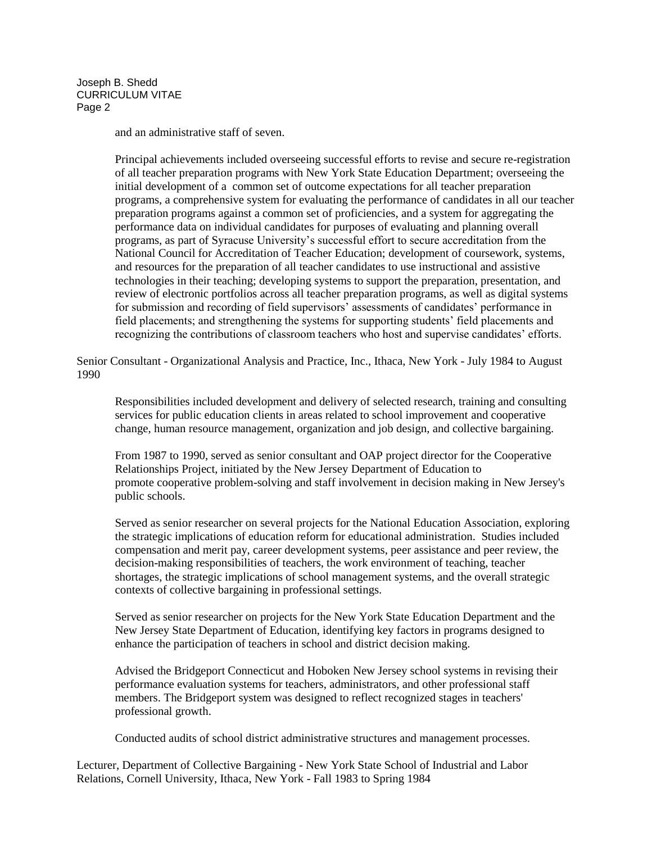and an administrative staff of seven.

Principal achievements included overseeing successful efforts to revise and secure re-registration of all teacher preparation programs with New York State Education Department; overseeing the initial development of a common set of outcome expectations for all teacher preparation programs, a comprehensive system for evaluating the performance of candidates in all our teacher preparation programs against a common set of proficiencies, and a system for aggregating the performance data on individual candidates for purposes of evaluating and planning overall programs, as part of Syracuse University's successful effort to secure accreditation from the National Council for Accreditation of Teacher Education; development of coursework, systems, and resources for the preparation of all teacher candidates to use instructional and assistive technologies in their teaching; developing systems to support the preparation, presentation, and review of electronic portfolios across all teacher preparation programs, as well as digital systems for submission and recording of field supervisors' assessments of candidates' performance in field placements; and strengthening the systems for supporting students' field placements and recognizing the contributions of classroom teachers who host and supervise candidates' efforts.

Senior Consultant - Organizational Analysis and Practice, Inc., Ithaca, New York - July 1984 to August 1990

Responsibilities included development and delivery of selected research, training and consulting services for public education clients in areas related to school improvement and cooperative change, human resource management, organization and job design, and collective bargaining.

From 1987 to 1990, served as senior consultant and OAP project director for the Cooperative Relationships Project, initiated by the New Jersey Department of Education to promote cooperative problem-solving and staff involvement in decision making in New Jersey's public schools.

Served as senior researcher on several projects for the National Education Association, exploring the strategic implications of education reform for educational administration. Studies included compensation and merit pay, career development systems, peer assistance and peer review, the decision-making responsibilities of teachers, the work environment of teaching, teacher shortages, the strategic implications of school management systems, and the overall strategic contexts of collective bargaining in professional settings.

Served as senior researcher on projects for the New York State Education Department and the New Jersey State Department of Education, identifying key factors in programs designed to enhance the participation of teachers in school and district decision making.

Advised the Bridgeport Connecticut and Hoboken New Jersey school systems in revising their performance evaluation systems for teachers, administrators, and other professional staff members. The Bridgeport system was designed to reflect recognized stages in teachers' professional growth.

Conducted audits of school district administrative structures and management processes.

Lecturer, Department of Collective Bargaining - New York State School of Industrial and Labor Relations, Cornell University, Ithaca, New York - Fall 1983 to Spring 1984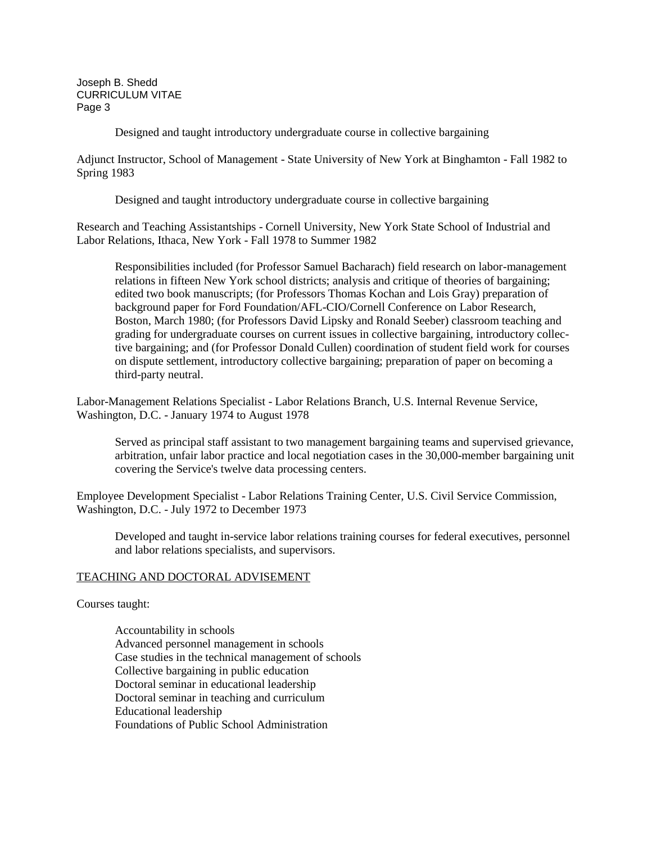Designed and taught introductory undergraduate course in collective bargaining

Adjunct Instructor, School of Management - State University of New York at Binghamton - Fall 1982 to Spring 1983

Designed and taught introductory undergraduate course in collective bargaining

Research and Teaching Assistantships - Cornell University, New York State School of Industrial and Labor Relations, Ithaca, New York - Fall 1978 to Summer 1982

Responsibilities included (for Professor Samuel Bacharach) field research on labor-management relations in fifteen New York school districts; analysis and critique of theories of bargaining; edited two book manuscripts; (for Professors Thomas Kochan and Lois Gray) preparation of background paper for Ford Foundation/AFL-CIO/Cornell Conference on Labor Research, Boston, March 1980; (for Professors David Lipsky and Ronald Seeber) classroom teaching and grading for undergraduate courses on current issues in collective bargaining, introductory collective bargaining; and (for Professor Donald Cullen) coordination of student field work for courses on dispute settlement, introductory collective bargaining; preparation of paper on becoming a third-party neutral.

Labor-Management Relations Specialist - Labor Relations Branch, U.S. Internal Revenue Service, Washington, D.C. - January 1974 to August 1978

Served as principal staff assistant to two management bargaining teams and supervised grievance, arbitration, unfair labor practice and local negotiation cases in the 30,000-member bargaining unit covering the Service's twelve data processing centers.

Employee Development Specialist - Labor Relations Training Center, U.S. Civil Service Commission, Washington, D.C. - July 1972 to December 1973

Developed and taught in-service labor relations training courses for federal executives, personnel and labor relations specialists, and supervisors.

## TEACHING AND DOCTORAL ADVISEMENT

Courses taught:

Accountability in schools Advanced personnel management in schools Case studies in the technical management of schools Collective bargaining in public education Doctoral seminar in educational leadership Doctoral seminar in teaching and curriculum Educational leadership Foundations of Public School Administration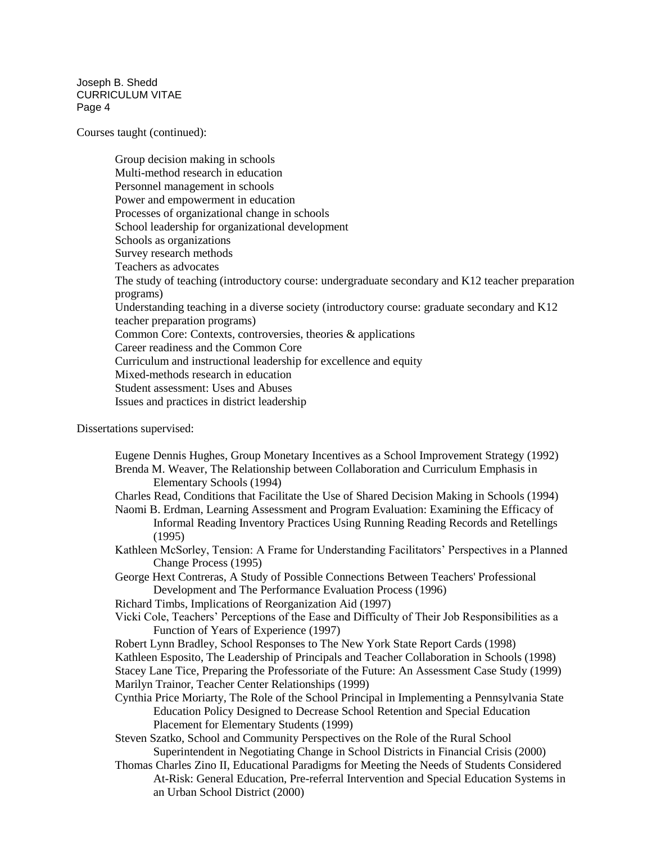Courses taught (continued):

Group decision making in schools Multi-method research in education Personnel management in schools Power and empowerment in education Processes of organizational change in schools School leadership for organizational development Schools as organizations Survey research methods Teachers as advocates The study of teaching (introductory course: undergraduate secondary and K12 teacher preparation programs) Understanding teaching in a diverse society (introductory course: graduate secondary and K12 teacher preparation programs) Common Core: Contexts, controversies, theories & applications Career readiness and the Common Core Curriculum and instructional leadership for excellence and equity Mixed-methods research in education Student assessment: Uses and Abuses Issues and practices in district leadership

Dissertations supervised:

| Eugene Dennis Hughes, Group Monetary Incentives as a School Improvement Strategy (1992)                          |
|------------------------------------------------------------------------------------------------------------------|
| Brenda M. Weaver, The Relationship between Collaboration and Curriculum Emphasis in<br>Elementary Schools (1994) |
| Charles Read, Conditions that Facilitate the Use of Shared Decision Making in Schools (1994)                     |
| Naomi B. Erdman, Learning Assessment and Program Evaluation: Examining the Efficacy of                           |
| Informal Reading Inventory Practices Using Running Reading Records and Retellings                                |
| (1995)                                                                                                           |
| Kathleen McSorley, Tension: A Frame for Understanding Facilitators' Perspectives in a Planned                    |
| Change Process (1995)                                                                                            |
| George Hext Contreras, A Study of Possible Connections Between Teachers' Professional                            |
| Development and The Performance Evaluation Process (1996)                                                        |
| Richard Timbs, Implications of Reorganization Aid (1997)                                                         |
| Vicki Cole, Teachers' Perceptions of the Ease and Difficulty of Their Job Responsibilities as a                  |
| Function of Years of Experience (1997)                                                                           |
| Robert Lynn Bradley, School Responses to The New York State Report Cards (1998)                                  |
| Kathleen Esposito, The Leadership of Principals and Teacher Collaboration in Schools (1998)                      |
| Stacey Lane Tice, Preparing the Professoriate of the Future: An Assessment Case Study (1999)                     |
| Marilyn Trainor, Teacher Center Relationships (1999)                                                             |
| Cynthia Price Moriarty, The Role of the School Principal in Implementing a Pennsylvania State                    |
| Education Policy Designed to Decrease School Retention and Special Education                                     |
| Placement for Elementary Students (1999)                                                                         |
| Steven Szatko, School and Community Perspectives on the Role of the Rural School                                 |
| Superintendent in Negotiating Change in School Districts in Financial Crisis (2000)                              |
| Thomas Charles Zino II, Educational Paradigms for Meeting the Needs of Students Considered                       |
| At-Risk: General Education, Pre-referral Intervention and Special Education Systems in                           |
| an Urban School District (2000)                                                                                  |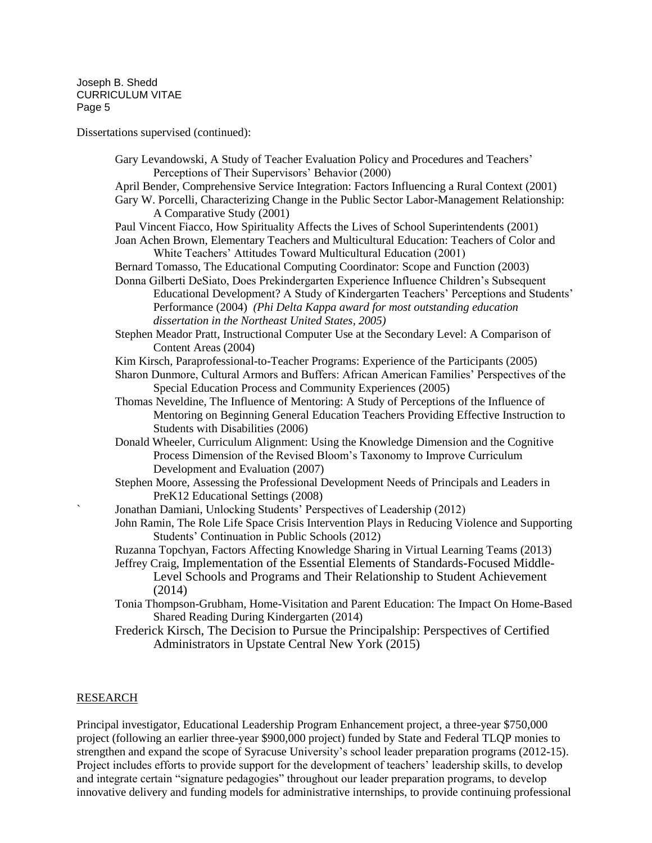Dissertations supervised (continued):

Gary Levandowski, A Study of Teacher Evaluation Policy and Procedures and Teachers' Perceptions of Their Supervisors' Behavior (2000) April Bender, Comprehensive Service Integration: Factors Influencing a Rural Context (2001) Gary W. Porcelli, Characterizing Change in the Public Sector Labor-Management Relationship: A Comparative Study (2001) Paul Vincent Fiacco, How Spirituality Affects the Lives of School Superintendents (2001) Joan Achen Brown, Elementary Teachers and Multicultural Education: Teachers of Color and White Teachers' Attitudes Toward Multicultural Education (2001) Bernard Tomasso, The Educational Computing Coordinator: Scope and Function (2003) Donna Gilberti DeSiato, Does Prekindergarten Experience Influence Children's Subsequent Educational Development? A Study of Kindergarten Teachers' Perceptions and Students' Performance (2004) *(Phi Delta Kappa award for most outstanding education dissertation in the Northeast United States, 2005)* Stephen Meador Pratt, Instructional Computer Use at the Secondary Level: A Comparison of Content Areas (2004) Kim Kirsch, Paraprofessional-to-Teacher Programs: Experience of the Participants (2005) Sharon Dunmore, Cultural Armors and Buffers: African American Families' Perspectives of the Special Education Process and Community Experiences (2005) Thomas Neveldine, The Influence of Mentoring: A Study of Perceptions of the Influence of Mentoring on Beginning General Education Teachers Providing Effective Instruction to Students with Disabilities (2006) Donald Wheeler, Curriculum Alignment: Using the Knowledge Dimension and the Cognitive Process Dimension of the Revised Bloom's Taxonomy to Improve Curriculum Development and Evaluation (2007) Stephen Moore, Assessing the Professional Development Needs of Principals and Leaders in PreK12 Educational Settings (2008) ` Jonathan Damiani, Unlocking Students' Perspectives of Leadership (2012) John Ramin, The Role Life Space Crisis Intervention Plays in Reducing Violence and Supporting Students' Continuation in Public Schools (2012) Ruzanna Topchyan, Factors Affecting Knowledge Sharing in Virtual Learning Teams (2013) Jeffrey Craig, Implementation of the Essential Elements of Standards-Focused Middle-Level Schools and Programs and Their Relationship to Student Achievement (2014) Tonia Thompson-Grubham, Home-Visitation and Parent Education: The Impact On Home-Based Shared Reading During Kindergarten (2014) Frederick Kirsch, The Decision to Pursue the Principalship: Perspectives of Certified Administrators in Upstate Central New York (2015)

## RESEARCH

Principal investigator, Educational Leadership Program Enhancement project, a three-year \$750,000 project (following an earlier three-year \$900,000 project) funded by State and Federal TLQP monies to strengthen and expand the scope of Syracuse University's school leader preparation programs (2012-15). Project includes efforts to provide support for the development of teachers' leadership skills, to develop and integrate certain "signature pedagogies" throughout our leader preparation programs, to develop innovative delivery and funding models for administrative internships, to provide continuing professional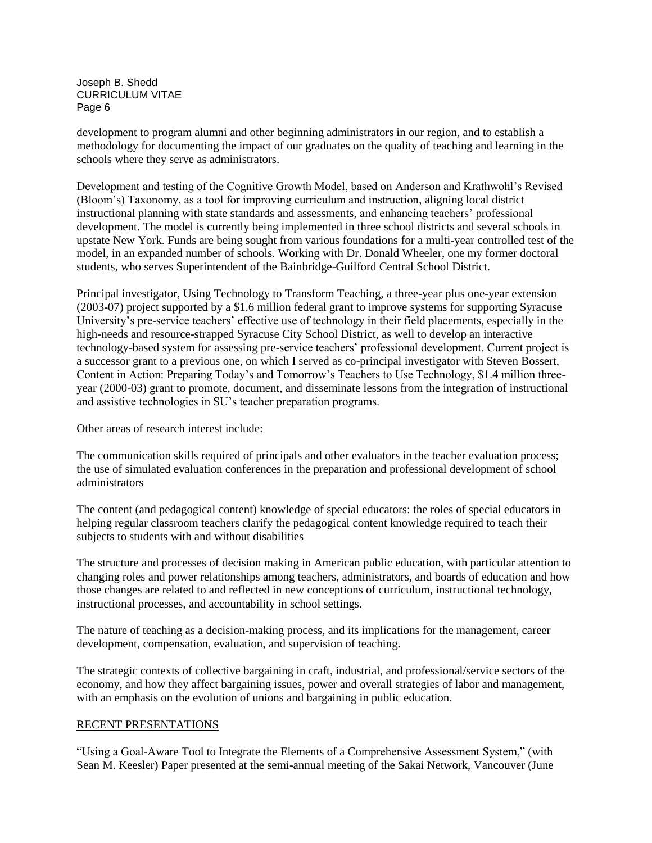development to program alumni and other beginning administrators in our region, and to establish a methodology for documenting the impact of our graduates on the quality of teaching and learning in the schools where they serve as administrators.

Development and testing of the Cognitive Growth Model, based on Anderson and Krathwohl's Revised (Bloom's) Taxonomy, as a tool for improving curriculum and instruction, aligning local district instructional planning with state standards and assessments, and enhancing teachers' professional development. The model is currently being implemented in three school districts and several schools in upstate New York. Funds are being sought from various foundations for a multi-year controlled test of the model, in an expanded number of schools. Working with Dr. Donald Wheeler, one my former doctoral students, who serves Superintendent of the Bainbridge-Guilford Central School District.

Principal investigator, Using Technology to Transform Teaching, a three-year plus one-year extension (2003-07) project supported by a \$1.6 million federal grant to improve systems for supporting Syracuse University's pre-service teachers' effective use of technology in their field placements, especially in the high-needs and resource-strapped Syracuse City School District, as well to develop an interactive technology-based system for assessing pre-service teachers' professional development. Current project is a successor grant to a previous one, on which I served as co-principal investigator with Steven Bossert, Content in Action: Preparing Today's and Tomorrow's Teachers to Use Technology, \$1.4 million threeyear (2000-03) grant to promote, document, and disseminate lessons from the integration of instructional and assistive technologies in SU's teacher preparation programs.

Other areas of research interest include:

The communication skills required of principals and other evaluators in the teacher evaluation process; the use of simulated evaluation conferences in the preparation and professional development of school administrators

The content (and pedagogical content) knowledge of special educators: the roles of special educators in helping regular classroom teachers clarify the pedagogical content knowledge required to teach their subjects to students with and without disabilities

The structure and processes of decision making in American public education, with particular attention to changing roles and power relationships among teachers, administrators, and boards of education and how those changes are related to and reflected in new conceptions of curriculum, instructional technology, instructional processes, and accountability in school settings.

The nature of teaching as a decision-making process, and its implications for the management, career development, compensation, evaluation, and supervision of teaching.

The strategic contexts of collective bargaining in craft, industrial, and professional/service sectors of the economy, and how they affect bargaining issues, power and overall strategies of labor and management, with an emphasis on the evolution of unions and bargaining in public education.

## RECENT PRESENTATIONS

"Using a Goal-Aware Tool to Integrate the Elements of a Comprehensive Assessment System," (with Sean M. Keesler) Paper presented at the semi-annual meeting of the Sakai Network, Vancouver (June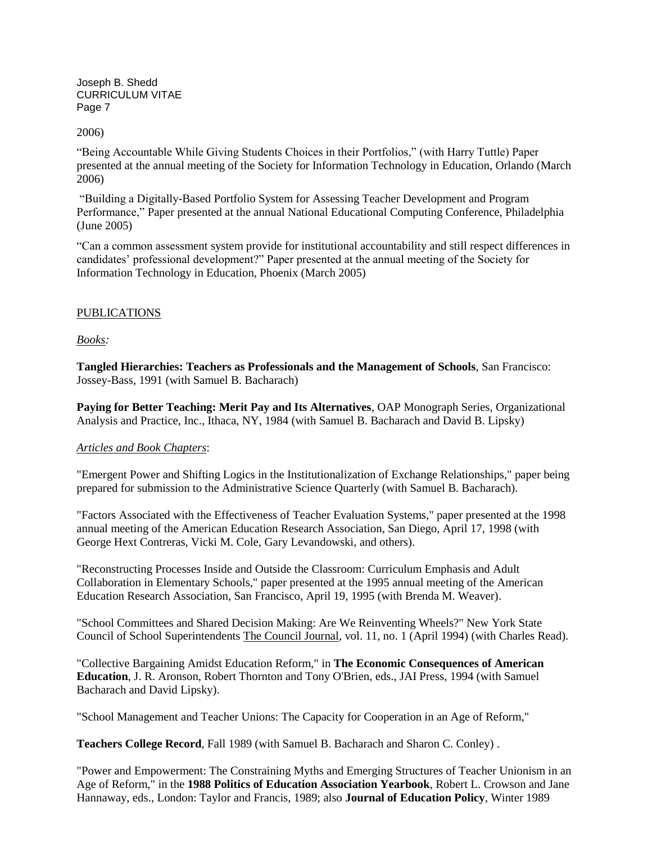2006)

"Being Accountable While Giving Students Choices in their Portfolios," (with Harry Tuttle) Paper presented at the annual meeting of the Society for Information Technology in Education, Orlando (March 2006)

"Building a Digitally-Based Portfolio System for Assessing Teacher Development and Program Performance," Paper presented at the annual National Educational Computing Conference, Philadelphia (June 2005)

"Can a common assessment system provide for institutional accountability and still respect differences in candidates' professional development?" Paper presented at the annual meeting of the Society for Information Technology in Education, Phoenix (March 2005)

## PUBLICATIONS

*Books:*

**Tangled Hierarchies: Teachers as Professionals and the Management of Schools**, San Francisco: Jossey-Bass, 1991 (with Samuel B. Bacharach)

**Paying for Better Teaching: Merit Pay and Its Alternatives**, OAP Monograph Series, Organizational Analysis and Practice, Inc., Ithaca, NY, 1984 (with Samuel B. Bacharach and David B. Lipsky)

#### *Articles and Book Chapters*:

"Emergent Power and Shifting Logics in the Institutionalization of Exchange Relationships," paper being prepared for submission to the Administrative Science Quarterly (with Samuel B. Bacharach).

"Factors Associated with the Effectiveness of Teacher Evaluation Systems," paper presented at the 1998 annual meeting of the American Education Research Association, San Diego, April 17, 1998 (with George Hext Contreras, Vicki M. Cole, Gary Levandowski, and others).

"Reconstructing Processes Inside and Outside the Classroom: Curriculum Emphasis and Adult Collaboration in Elementary Schools," paper presented at the 1995 annual meeting of the American Education Research Association, San Francisco, April 19, 1995 (with Brenda M. Weaver).

"School Committees and Shared Decision Making: Are We Reinventing Wheels?" New York State Council of School Superintendents The Council Journal, vol. 11, no. 1 (April 1994) (with Charles Read).

"Collective Bargaining Amidst Education Reform," in **The Economic Consequences of American Education**, J. R. Aronson, Robert Thornton and Tony O'Brien, eds., JAI Press, 1994 (with Samuel Bacharach and David Lipsky).

"School Management and Teacher Unions: The Capacity for Cooperation in an Age of Reform,"

**Teachers College Record**, Fall 1989 (with Samuel B. Bacharach and Sharon C. Conley) .

"Power and Empowerment: The Constraining Myths and Emerging Structures of Teacher Unionism in an Age of Reform," in the **1988 Politics of Education Association Yearbook**, Robert L. Crowson and Jane Hannaway, eds., London: Taylor and Francis, 1989; also **Journal of Education Policy**, Winter 1989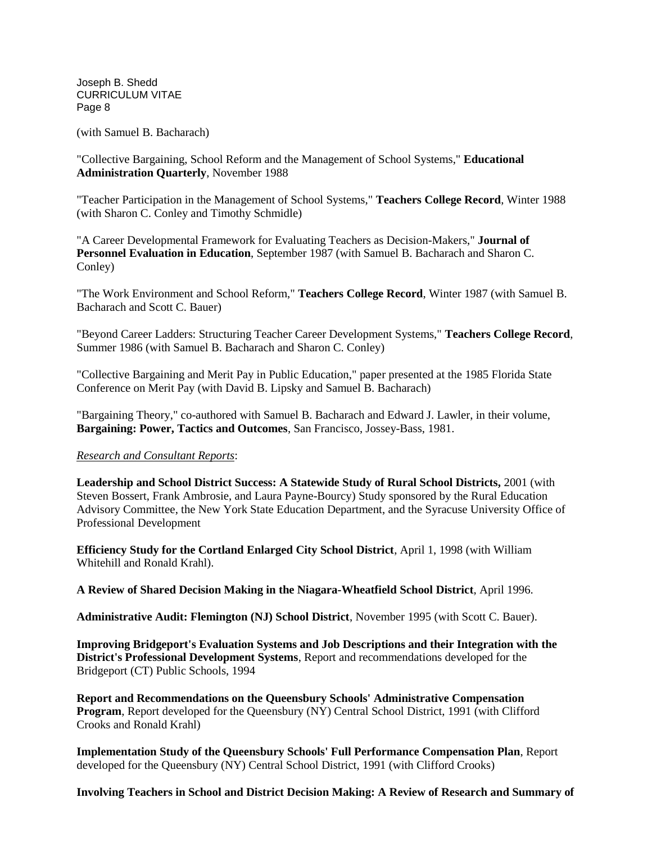(with Samuel B. Bacharach)

"Collective Bargaining, School Reform and the Management of School Systems," **Educational Administration Quarterly**, November 1988

"Teacher Participation in the Management of School Systems," **Teachers College Record**, Winter 1988 (with Sharon C. Conley and Timothy Schmidle)

"A Career Developmental Framework for Evaluating Teachers as Decision-Makers," **Journal of Personnel Evaluation in Education**, September 1987 (with Samuel B. Bacharach and Sharon C. Conley)

"The Work Environment and School Reform," **Teachers College Record**, Winter 1987 (with Samuel B. Bacharach and Scott C. Bauer)

"Beyond Career Ladders: Structuring Teacher Career Development Systems," **Teachers College Record**, Summer 1986 (with Samuel B. Bacharach and Sharon C. Conley)

"Collective Bargaining and Merit Pay in Public Education," paper presented at the 1985 Florida State Conference on Merit Pay (with David B. Lipsky and Samuel B. Bacharach)

"Bargaining Theory," co-authored with Samuel B. Bacharach and Edward J. Lawler, in their volume, **Bargaining: Power, Tactics and Outcomes**, San Francisco, Jossey-Bass, 1981.

## *Research and Consultant Reports*:

**Leadership and School District Success: A Statewide Study of Rural School Districts,** 2001 (with Steven Bossert, Frank Ambrosie, and Laura Payne-Bourcy) Study sponsored by the Rural Education Advisory Committee, the New York State Education Department, and the Syracuse University Office of Professional Development

**Efficiency Study for the Cortland Enlarged City School District**, April 1, 1998 (with William Whitehill and Ronald Krahl).

**A Review of Shared Decision Making in the Niagara-Wheatfield School District**, April 1996.

**Administrative Audit: Flemington (NJ) School District**, November 1995 (with Scott C. Bauer).

**Improving Bridgeport's Evaluation Systems and Job Descriptions and their Integration with the District's Professional Development Systems**, Report and recommendations developed for the Bridgeport (CT) Public Schools, 1994

**Report and Recommendations on the Queensbury Schools' Administrative Compensation Program**, Report developed for the Queensbury (NY) Central School District, 1991 (with Clifford Crooks and Ronald Krahl)

**Implementation Study of the Queensbury Schools' Full Performance Compensation Plan**, Report developed for the Queensbury (NY) Central School District, 1991 (with Clifford Crooks)

#### **Involving Teachers in School and District Decision Making: A Review of Research and Summary of**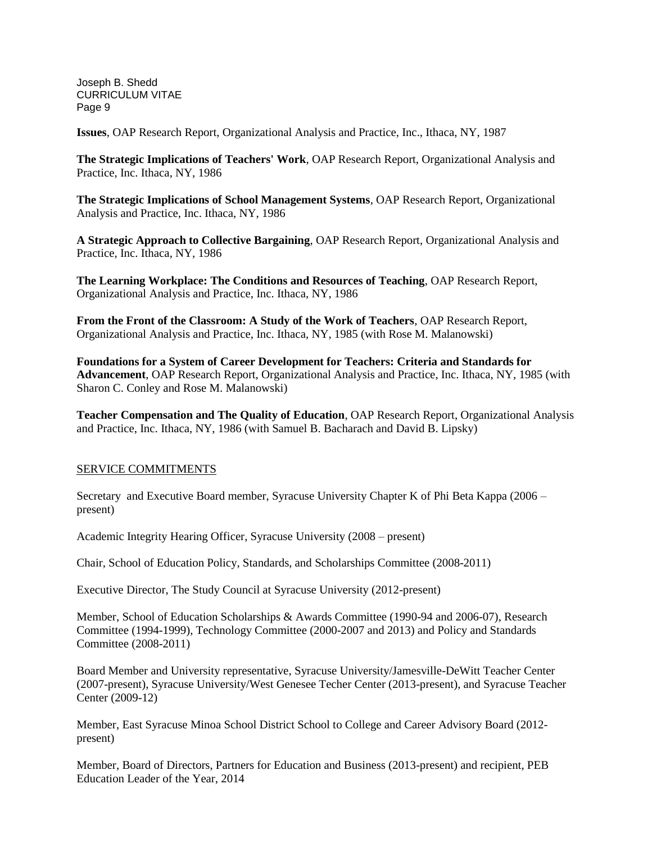**Issues**, OAP Research Report, Organizational Analysis and Practice, Inc., Ithaca, NY, 1987

**The Strategic Implications of Teachers' Work**, OAP Research Report, Organizational Analysis and Practice, Inc. Ithaca, NY, 1986

**The Strategic Implications of School Management Systems**, OAP Research Report, Organizational Analysis and Practice, Inc. Ithaca, NY, 1986

**A Strategic Approach to Collective Bargaining**, OAP Research Report, Organizational Analysis and Practice, Inc. Ithaca, NY, 1986

**The Learning Workplace: The Conditions and Resources of Teaching**, OAP Research Report, Organizational Analysis and Practice, Inc. Ithaca, NY, 1986

**From the Front of the Classroom: A Study of the Work of Teachers**, OAP Research Report, Organizational Analysis and Practice, Inc. Ithaca, NY, 1985 (with Rose M. Malanowski)

**Foundations for a System of Career Development for Teachers: Criteria and Standards for Advancement**, OAP Research Report, Organizational Analysis and Practice, Inc. Ithaca, NY, 1985 (with Sharon C. Conley and Rose M. Malanowski)

**Teacher Compensation and The Quality of Education**, OAP Research Report, Organizational Analysis and Practice, Inc. Ithaca, NY, 1986 (with Samuel B. Bacharach and David B. Lipsky)

## SERVICE COMMITMENTS

Secretary and Executive Board member, Syracuse University Chapter K of Phi Beta Kappa (2006 – present)

Academic Integrity Hearing Officer, Syracuse University (2008 – present)

Chair, School of Education Policy, Standards, and Scholarships Committee (2008-2011)

Executive Director, The Study Council at Syracuse University (2012-present)

Member, School of Education Scholarships & Awards Committee (1990-94 and 2006-07), Research Committee (1994-1999), Technology Committee (2000-2007 and 2013) and Policy and Standards Committee (2008-2011)

Board Member and University representative, Syracuse University/Jamesville-DeWitt Teacher Center (2007-present), Syracuse University/West Genesee Techer Center (2013-present), and Syracuse Teacher Center (2009-12)

Member, East Syracuse Minoa School District School to College and Career Advisory Board (2012 present)

Member, Board of Directors, Partners for Education and Business (2013-present) and recipient, PEB Education Leader of the Year, 2014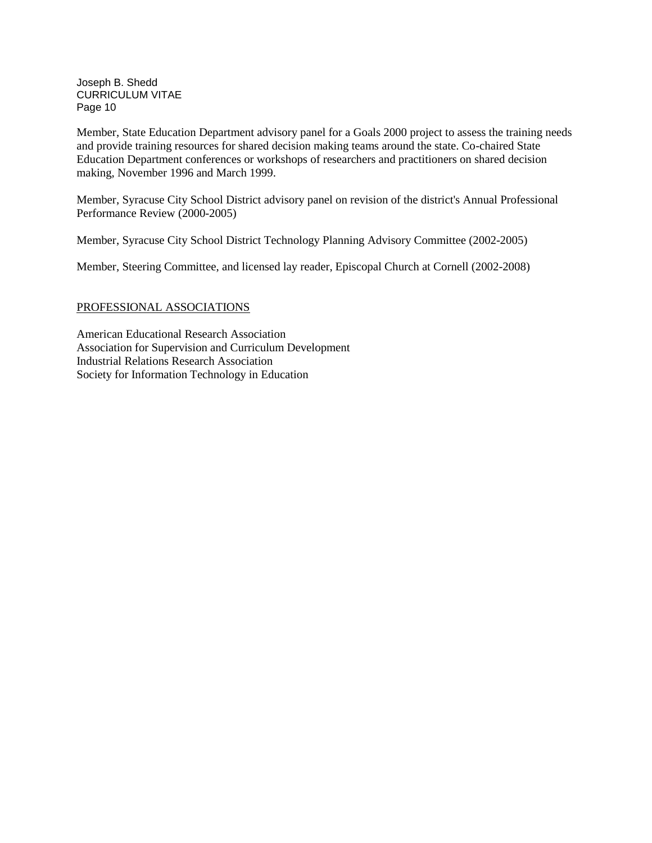Member, State Education Department advisory panel for a Goals 2000 project to assess the training needs and provide training resources for shared decision making teams around the state. Co-chaired State Education Department conferences or workshops of researchers and practitioners on shared decision making, November 1996 and March 1999.

Member, Syracuse City School District advisory panel on revision of the district's Annual Professional Performance Review (2000-2005)

Member, Syracuse City School District Technology Planning Advisory Committee (2002-2005)

Member, Steering Committee, and licensed lay reader, Episcopal Church at Cornell (2002-2008)

# PROFESSIONAL ASSOCIATIONS

American Educational Research Association Association for Supervision and Curriculum Development Industrial Relations Research Association Society for Information Technology in Education